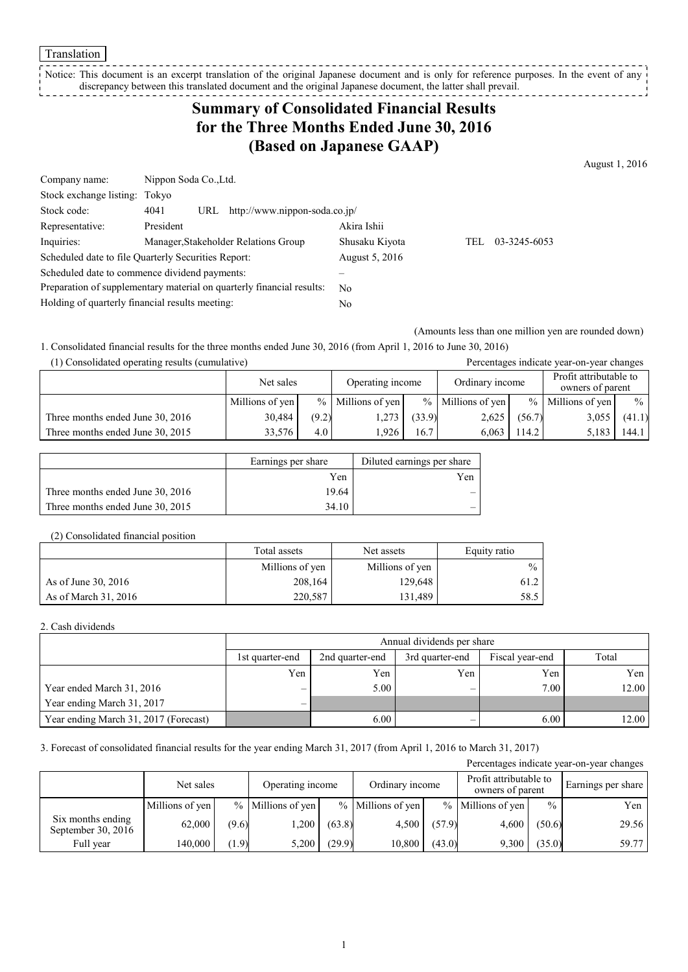Translation

Notice: This document is an excerpt translation of the original Japanese document and is only for reference purposes. In the event of any discrepancy between this translated document and the original Japanese document, the latter shall prevail. 

# **Summary of Consolidated Financial Results for the Three Months Ended June 30, 2016 (Based on Japanese GAAP)**

August 1, 2016

| Company name:                                                         | Nippon Soda Co., Ltd.                        |                |      |              |  |  |
|-----------------------------------------------------------------------|----------------------------------------------|----------------|------|--------------|--|--|
| Stock exchange listing: Tokyo                                         |                                              |                |      |              |  |  |
| Stock code:                                                           | 4041<br>http://www.nippon-soda.co.jp/<br>URL |                |      |              |  |  |
| Representative:                                                       | President                                    | Akira Ishii    |      |              |  |  |
| Inquiries:                                                            | Manager, Stakeholder Relations Group         | Shusaku Kiyota | TEL. | 03-3245-6053 |  |  |
| Scheduled date to file Quarterly Securities Report:                   |                                              | August 5, 2016 |      |              |  |  |
| Scheduled date to commence dividend payments:                         |                                              |                |      |              |  |  |
| Preparation of supplementary material on quarterly financial results: |                                              | No.            |      |              |  |  |
| Holding of quarterly financial results meeting:                       |                                              | N <sub>0</sub> |      |              |  |  |

(Amounts less than one million yen are rounded down)

1. Consolidated financial results for the three months ended June 30, 2016 (from April 1, 2016 to June 30, 2016)

| (1) Consolidated operating results (cumulative) |                 |       |                     |        |                     |        | Percentages indicate year-on-year changes  |               |
|-------------------------------------------------|-----------------|-------|---------------------|--------|---------------------|--------|--------------------------------------------|---------------|
|                                                 | Net sales       |       | Operating income    |        | Ordinary income     |        | Profit attributable to<br>owners of parent |               |
|                                                 | Millions of yen |       | $%$ Millions of yen |        | $%$ Millions of yen |        | $%$ Millions of yen                        | $\frac{0}{0}$ |
| Three months ended June 30, 2016                | 30,484          | (9.2) | 1,273               | (33.9) | 2,625               | (56.7) | 3,055                                      | (41.1)        |
| Three months ended June 30, 2015                | 33.576          | 4.0   | 1.926               | 16.7   | 6.063               | 114.2  | 5,183                                      | 144.1         |

|                                  | Earnings per share | Diluted earnings per share |
|----------------------------------|--------------------|----------------------------|
|                                  | Yen                | Yen                        |
| Three months ended June 30, 2016 | 19.64              |                            |
| Three months ended June 30, 2015 | 34.10              |                            |

#### (2) Consolidated financial position

|                      | Total assets    | Net assets      | Equity ratio  |
|----------------------|-----------------|-----------------|---------------|
|                      | Millions of yen | Millions of yen | $\frac{0}{0}$ |
| As of June 30, 2016  | 208,164         | 129,648         | 61.2          |
| As of March 31, 2016 | 220.587         | 131.489         | 58.5          |

#### 2. Cash dividends

|                                       | Annual dividends per share |                                                                |     |      |       |  |  |  |  |
|---------------------------------------|----------------------------|----------------------------------------------------------------|-----|------|-------|--|--|--|--|
|                                       | 1st quarter-end            | Total<br>2nd quarter-end<br>Fiscal year-end<br>3rd quarter-end |     |      |       |  |  |  |  |
|                                       | Yen                        | Yen                                                            | Yen | Yen  | Yen   |  |  |  |  |
| Year ended March 31, 2016             |                            | 5.00                                                           | -   | 7.00 | 12.00 |  |  |  |  |
| Year ending March 31, 2017            |                            |                                                                |     |      |       |  |  |  |  |
| Year ending March 31, 2017 (Forecast) |                            | 6.00                                                           |     | 6.00 | 12.00 |  |  |  |  |

### 3. Forecast of consolidated financial results for the year ending March 31, 2017 (from April 1, 2016 to March 31, 2017)

| Percentages indicate year-on-year changes |                               |       |                   |        |                     |        |                   |               |                 |  |                                            |  |                    |
|-------------------------------------------|-------------------------------|-------|-------------------|--------|---------------------|--------|-------------------|---------------|-----------------|--|--------------------------------------------|--|--------------------|
|                                           | Operating income<br>Net sales |       |                   |        |                     |        |                   |               | Ordinary income |  | Profit attributable to<br>owners of parent |  | Earnings per share |
|                                           | Millions of yen               |       | % Millions of yen |        | $%$ Millions of yen |        | % Millions of yen | $\frac{0}{0}$ | Yen             |  |                                            |  |                    |
| Six months ending<br>September 30, 2016   | 62.000                        | (9.6) | ,200              | (63.8) | 4,500               | (57.9) | 4,600             | (50.6)        | 29.56           |  |                                            |  |                    |
| Full year                                 | 140.000                       | (1.9) | 5.200             | (29.9) | 10.800              | (43.0) | 9,300             | (35.0)        | 59.77           |  |                                            |  |                    |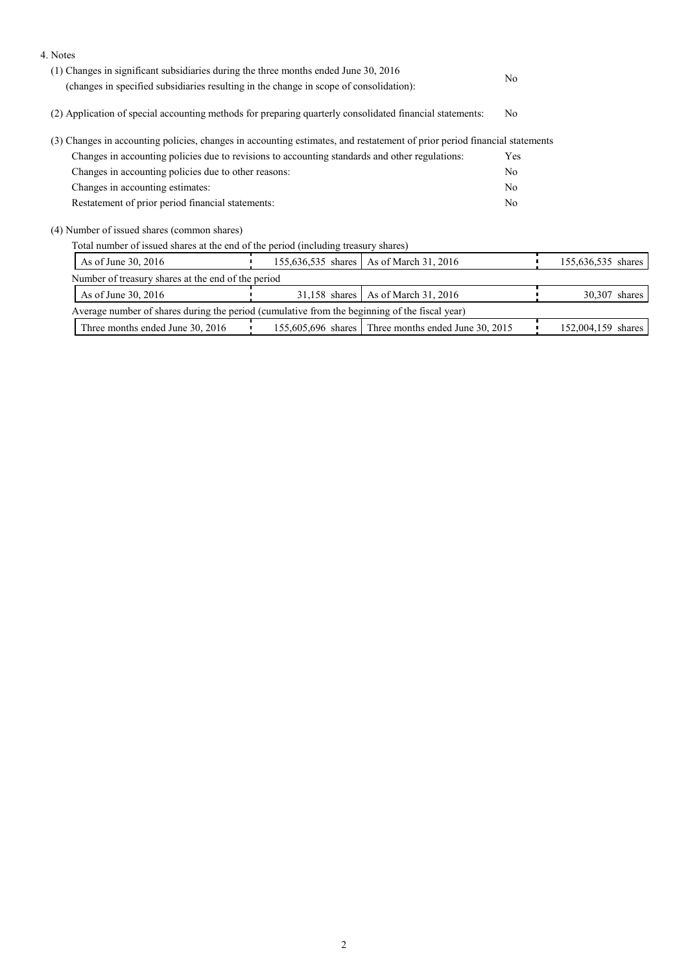| 4. Notes                                                                                                                  |  |                                                       |                |                    |
|---------------------------------------------------------------------------------------------------------------------------|--|-------------------------------------------------------|----------------|--------------------|
| (1) Changes in significant subsidiaries during the three months ended June 30, 2016                                       |  |                                                       | N <sub>0</sub> |                    |
| (changes in specified subsidiaries resulting in the change in scope of consolidation):                                    |  |                                                       |                |                    |
| (2) Application of special accounting methods for preparing quarterly consolidated financial statements:                  |  |                                                       |                |                    |
| (3) Changes in accounting policies, changes in accounting estimates, and restatement of prior period financial statements |  |                                                       |                |                    |
| Changes in accounting policies due to revisions to accounting standards and other regulations:                            |  |                                                       | Yes            |                    |
| Changes in accounting policies due to other reasons:                                                                      |  |                                                       |                |                    |
| Changes in accounting estimates:                                                                                          |  |                                                       | N <sub>0</sub> |                    |
| Restatement of prior period financial statements:                                                                         |  |                                                       |                |                    |
| (4) Number of issued shares (common shares)                                                                               |  |                                                       |                |                    |
| Total number of issued shares at the end of the period (including treasury shares)                                        |  |                                                       |                |                    |
| As of June 30, 2016<br>155,636,535 shares<br>As of March 31, 2016                                                         |  |                                                       |                | 155,636,535 shares |
| Number of treasury shares at the end of the period                                                                        |  |                                                       |                |                    |
| As of March 31, 2016<br>As of June 30, 2016<br>$31,158$ shares                                                            |  |                                                       |                | 30,307 shares      |
| Average number of shares during the period (cumulative from the beginning of the fiscal year)                             |  |                                                       |                |                    |
| Three months ended June 30, 2016                                                                                          |  | 155,605,696 shares   Three months ended June 30, 2015 |                | 152,004,159 shares |
|                                                                                                                           |  |                                                       |                |                    |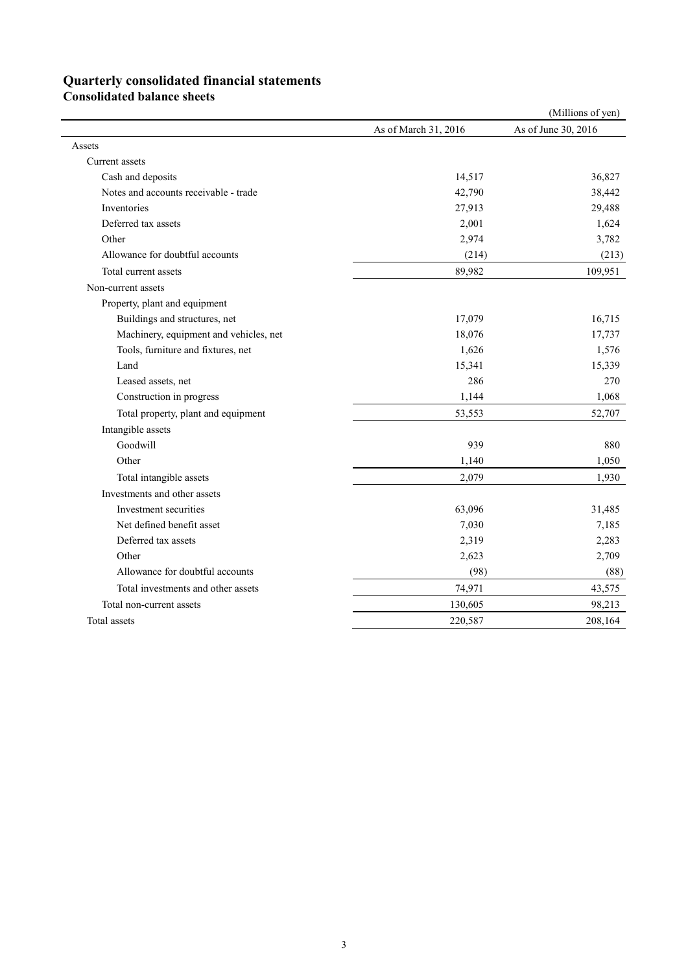# **Quarterly consolidated financial statements**

**Consolidated balance sheets** 

|                                        |                      | (Millions of yen)   |
|----------------------------------------|----------------------|---------------------|
|                                        | As of March 31, 2016 | As of June 30, 2016 |
| Assets                                 |                      |                     |
| Current assets                         |                      |                     |
| Cash and deposits                      | 14,517               | 36,827              |
| Notes and accounts receivable - trade  | 42,790               | 38,442              |
| Inventories                            | 27,913               | 29,488              |
| Deferred tax assets                    | 2,001                | 1,624               |
| Other                                  | 2,974                | 3,782               |
| Allowance for doubtful accounts        | (214)                | (213)               |
| Total current assets                   | 89,982               | 109,951             |
| Non-current assets                     |                      |                     |
| Property, plant and equipment          |                      |                     |
| Buildings and structures, net          | 17,079               | 16,715              |
| Machinery, equipment and vehicles, net | 18,076               | 17,737              |
| Tools, furniture and fixtures, net     | 1,626                | 1,576               |
| Land                                   | 15,341               | 15,339              |
| Leased assets, net                     | 286                  | 270                 |
| Construction in progress               | 1,144                | 1,068               |
| Total property, plant and equipment    | 53,553               | 52,707              |
| Intangible assets                      |                      |                     |
| Goodwill                               | 939                  | 880                 |
| Other                                  | 1,140                | 1,050               |
| Total intangible assets                | 2,079                | 1,930               |
| Investments and other assets           |                      |                     |
| Investment securities                  | 63,096               | 31,485              |
| Net defined benefit asset              | 7,030                | 7,185               |
| Deferred tax assets                    | 2,319                | 2,283               |
| Other                                  | 2,623                | 2,709               |
| Allowance for doubtful accounts        | (98)                 | (88)                |
| Total investments and other assets     | 74,971               | 43,575              |
| Total non-current assets               | 130,605              | 98,213              |
| Total assets                           | 220,587              | 208,164             |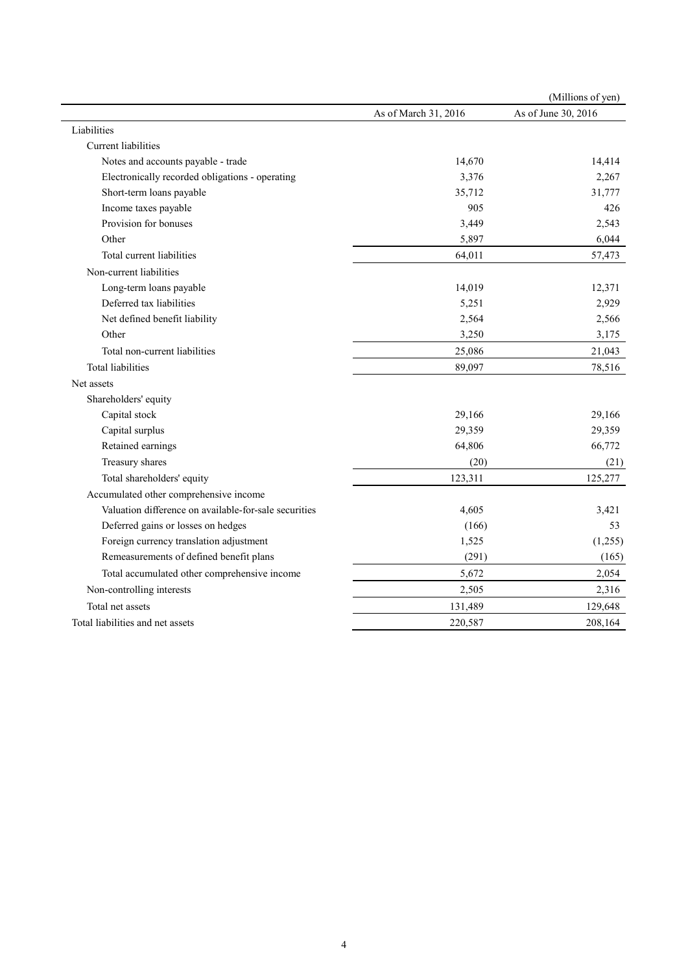|                                                       |                      | (Millions of yen)   |
|-------------------------------------------------------|----------------------|---------------------|
|                                                       | As of March 31, 2016 | As of June 30, 2016 |
| Liabilities                                           |                      |                     |
| <b>Current liabilities</b>                            |                      |                     |
| Notes and accounts payable - trade                    | 14,670               | 14,414              |
| Electronically recorded obligations - operating       | 3,376                | 2,267               |
| Short-term loans payable                              | 35,712               | 31,777              |
| Income taxes payable                                  | 905                  | 426                 |
| Provision for bonuses                                 | 3,449                | 2,543               |
| Other                                                 | 5,897                | 6,044               |
| Total current liabilities                             | 64,011               | 57,473              |
| Non-current liabilities                               |                      |                     |
| Long-term loans payable                               | 14,019               | 12,371              |
| Deferred tax liabilities                              | 5,251                | 2,929               |
| Net defined benefit liability                         | 2,564                | 2,566               |
| Other                                                 | 3,250                | 3,175               |
| Total non-current liabilities                         | 25,086               | 21,043              |
| <b>Total liabilities</b>                              | 89,097               | 78,516              |
| Net assets                                            |                      |                     |
| Shareholders' equity                                  |                      |                     |
| Capital stock                                         | 29,166               | 29,166              |
| Capital surplus                                       | 29,359               | 29,359              |
| Retained earnings                                     | 64,806               | 66,772              |
| Treasury shares                                       | (20)                 | (21)                |
| Total shareholders' equity                            | 123,311              | 125,277             |
| Accumulated other comprehensive income                |                      |                     |
| Valuation difference on available-for-sale securities | 4,605                | 3,421               |
| Deferred gains or losses on hedges                    | (166)                | 53                  |
| Foreign currency translation adjustment               | 1,525                | (1,255)             |
| Remeasurements of defined benefit plans               | (291)                | (165)               |
| Total accumulated other comprehensive income          | 5,672                | 2,054               |
| Non-controlling interests                             | 2,505                | 2,316               |
| Total net assets                                      | 131,489              | 129,648             |
| Total liabilities and net assets                      | 220,587              | 208,164             |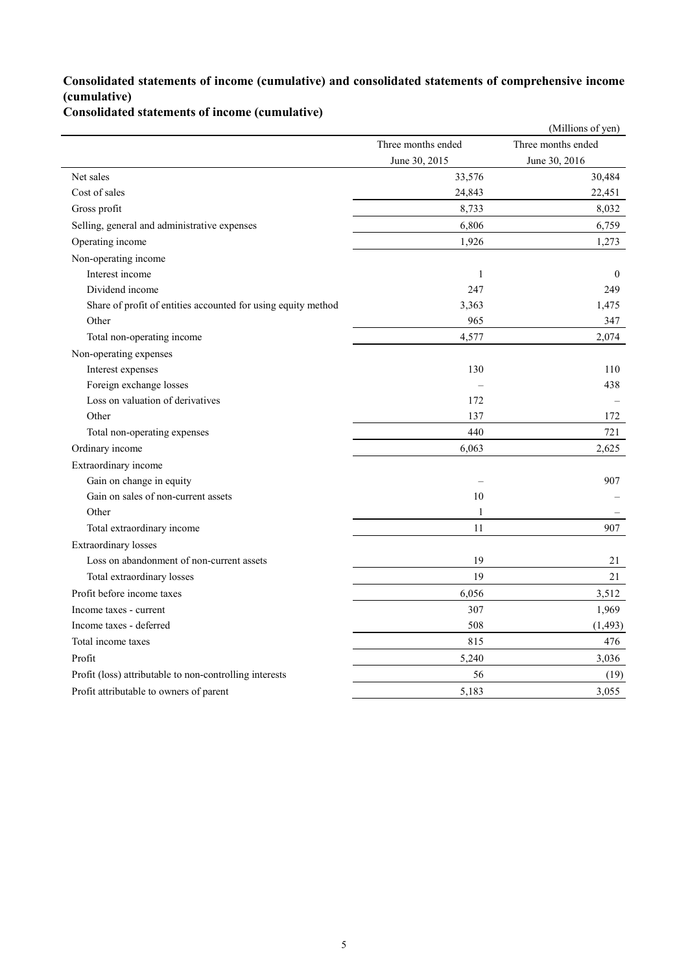### **Consolidated statements of income (cumulative) and consolidated statements of comprehensive income (cumulative)**

**Consolidated statements of income (cumulative)**

|                                                               |                    | (Millions of yen)  |
|---------------------------------------------------------------|--------------------|--------------------|
|                                                               | Three months ended | Three months ended |
|                                                               | June 30, 2015      | June 30, 2016      |
| Net sales                                                     | 33,576             | 30,484             |
| Cost of sales                                                 | 24,843             | 22,451             |
| Gross profit                                                  | 8,733              | 8,032              |
| Selling, general and administrative expenses                  | 6,806              | 6,759              |
| Operating income                                              | 1,926              | 1,273              |
| Non-operating income                                          |                    |                    |
| Interest income                                               | $\mathbf{1}$       | $\mathbf{0}$       |
| Dividend income                                               | 247                | 249                |
| Share of profit of entities accounted for using equity method | 3,363              | 1,475              |
| Other                                                         | 965                | 347                |
| Total non-operating income                                    | 4,577              | 2,074              |
| Non-operating expenses                                        |                    |                    |
| Interest expenses                                             | 130                | 110                |
| Foreign exchange losses                                       |                    | 438                |
| Loss on valuation of derivatives                              | 172                |                    |
| Other                                                         | 137                | 172                |
| Total non-operating expenses                                  | 440                | 721                |
| Ordinary income                                               | 6,063              | 2,625              |
| Extraordinary income                                          |                    |                    |
| Gain on change in equity                                      |                    | 907                |
| Gain on sales of non-current assets                           | 10                 |                    |
| Other                                                         | $\mathbf{1}$       |                    |
| Total extraordinary income                                    | 11                 | 907                |
| Extraordinary losses                                          |                    |                    |
| Loss on abandonment of non-current assets                     | 19                 | 21                 |
| Total extraordinary losses                                    | 19                 | 21                 |
| Profit before income taxes                                    | 6,056              | 3,512              |
| Income taxes - current                                        | 307                | 1,969              |
| Income taxes - deferred                                       | 508                | (1, 493)           |
| Total income taxes                                            | 815                | 476                |
| Profit                                                        | 5,240              | 3,036              |
| Profit (loss) attributable to non-controlling interests       | 56                 | (19)               |
| Profit attributable to owners of parent                       | 5,183              | 3,055              |